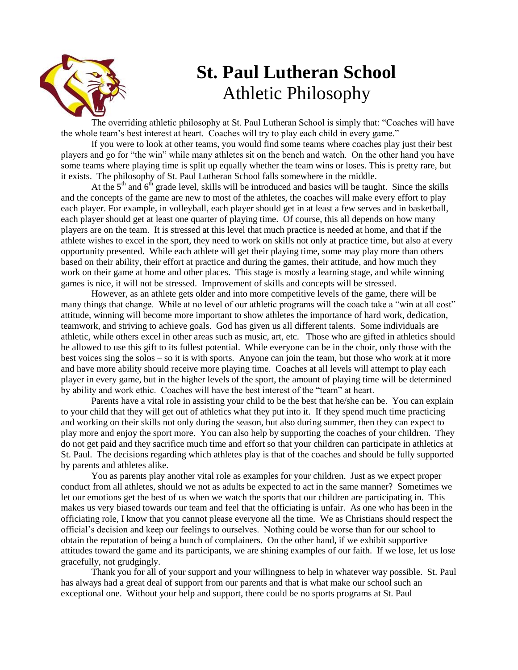

# **St. Paul Lutheran School** Athletic Philosophy

The overriding athletic philosophy at St. Paul Lutheran School is simply that: "Coaches will have the whole team's best interest at heart. Coaches will try to play each child in every game."

If you were to look at other teams, you would find some teams where coaches play just their best players and go for "the win" while many athletes sit on the bench and watch. On the other hand you have some teams where playing time is split up equally whether the team wins or loses. This is pretty rare, but it exists. The philosophy of St. Paul Lutheran School falls somewhere in the middle.

At the  $5<sup>th</sup>$  and  $6<sup>th</sup>$  grade level, skills will be introduced and basics will be taught. Since the skills and the concepts of the game are new to most of the athletes, the coaches will make every effort to play each player. For example, in volleyball, each player should get in at least a few serves and in basketball, each player should get at least one quarter of playing time. Of course, this all depends on how many players are on the team. It is stressed at this level that much practice is needed at home, and that if the athlete wishes to excel in the sport, they need to work on skills not only at practice time, but also at every opportunity presented. While each athlete will get their playing time, some may play more than others based on their ability, their effort at practice and during the games, their attitude, and how much they work on their game at home and other places. This stage is mostly a learning stage, and while winning games is nice, it will not be stressed. Improvement of skills and concepts will be stressed.

However, as an athlete gets older and into more competitive levels of the game, there will be many things that change. While at no level of our athletic programs will the coach take a "win at all cost" attitude, winning will become more important to show athletes the importance of hard work, dedication, teamwork, and striving to achieve goals. God has given us all different talents. Some individuals are athletic, while others excel in other areas such as music, art, etc. Those who are gifted in athletics should be allowed to use this gift to its fullest potential. While everyone can be in the choir, only those with the best voices sing the solos – so it is with sports. Anyone can join the team, but those who work at it more and have more ability should receive more playing time. Coaches at all levels will attempt to play each player in every game, but in the higher levels of the sport, the amount of playing time will be determined by ability and work ethic. Coaches will have the best interest of the "team" at heart.

Parents have a vital role in assisting your child to be the best that he/she can be. You can explain to your child that they will get out of athletics what they put into it. If they spend much time practicing and working on their skills not only during the season, but also during summer, then they can expect to play more and enjoy the sport more. You can also help by supporting the coaches of your children. They do not get paid and they sacrifice much time and effort so that your children can participate in athletics at St. Paul. The decisions regarding which athletes play is that of the coaches and should be fully supported by parents and athletes alike.

You as parents play another vital role as examples for your children. Just as we expect proper conduct from all athletes, should we not as adults be expected to act in the same manner? Sometimes we let our emotions get the best of us when we watch the sports that our children are participating in. This makes us very biased towards our team and feel that the officiating is unfair. As one who has been in the officiating role, I know that you cannot please everyone all the time. We as Christians should respect the official's decision and keep our feelings to ourselves. Nothing could be worse than for our school to obtain the reputation of being a bunch of complainers. On the other hand, if we exhibit supportive attitudes toward the game and its participants, we are shining examples of our faith. If we lose, let us lose gracefully, not grudgingly.

Thank you for all of your support and your willingness to help in whatever way possible. St. Paul has always had a great deal of support from our parents and that is what make our school such an exceptional one. Without your help and support, there could be no sports programs at St. Paul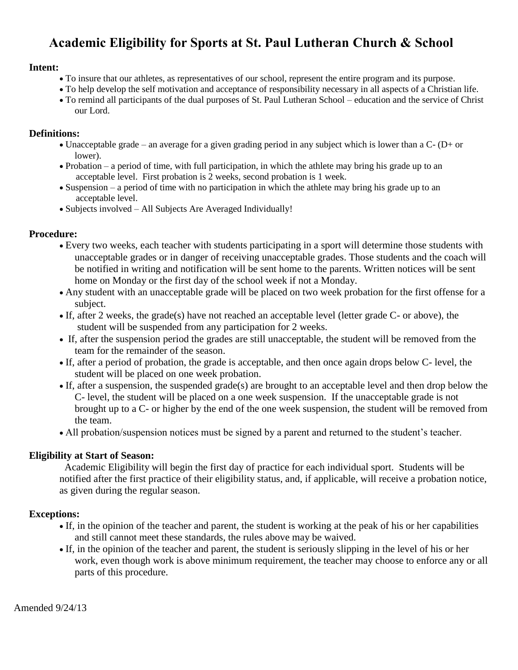### **Academic Eligibility for Sports at St. Paul Lutheran Church & School**

### **Intent:**

- To insure that our athletes, as representatives of our school, represent the entire program and its purpose.
- To help develop the self motivation and acceptance of responsibility necessary in all aspects of a Christian life.
- To remind all participants of the dual purposes of St. Paul Lutheran School education and the service of Christ our Lord.

### **Definitions:**

- Unacceptable grade an average for a given grading period in any subject which is lower than a  $C (D + or)$ lower).
- Probation a period of time, with full participation, in which the athlete may bring his grade up to an acceptable level. First probation is 2 weeks, second probation is 1 week.
- Suspension a period of time with no participation in which the athlete may bring his grade up to an acceptable level.
- Subjects involved All Subjects Are Averaged Individually!

### **Procedure:**

- Every two weeks, each teacher with students participating in a sport will determine those students with unacceptable grades or in danger of receiving unacceptable grades. Those students and the coach will be notified in writing and notification will be sent home to the parents. Written notices will be sent home on Monday or the first day of the school week if not a Monday.
- Any student with an unacceptable grade will be placed on two week probation for the first offense for a subject.
- If, after 2 weeks, the grade(s) have not reached an acceptable level (letter grade C- or above), the student will be suspended from any participation for 2 weeks.
- If, after the suspension period the grades are still unacceptable, the student will be removed from the team for the remainder of the season.
- If, after a period of probation, the grade is acceptable, and then once again drops below C- level, the student will be placed on one week probation.
- If, after a suspension, the suspended grade(s) are brought to an acceptable level and then drop below the C- level, the student will be placed on a one week suspension. If the unacceptable grade is not brought up to a C- or higher by the end of the one week suspension, the student will be removed from the team.
- All probation/suspension notices must be signed by a parent and returned to the student's teacher.

### **Eligibility at Start of Season:**

 Academic Eligibility will begin the first day of practice for each individual sport. Students will be notified after the first practice of their eligibility status, and, if applicable, will receive a probation notice, as given during the regular season.

### **Exceptions:**

- If, in the opinion of the teacher and parent, the student is working at the peak of his or her capabilities and still cannot meet these standards, the rules above may be waived.
- If, in the opinion of the teacher and parent, the student is seriously slipping in the level of his or her work, even though work is above minimum requirement, the teacher may choose to enforce any or all parts of this procedure.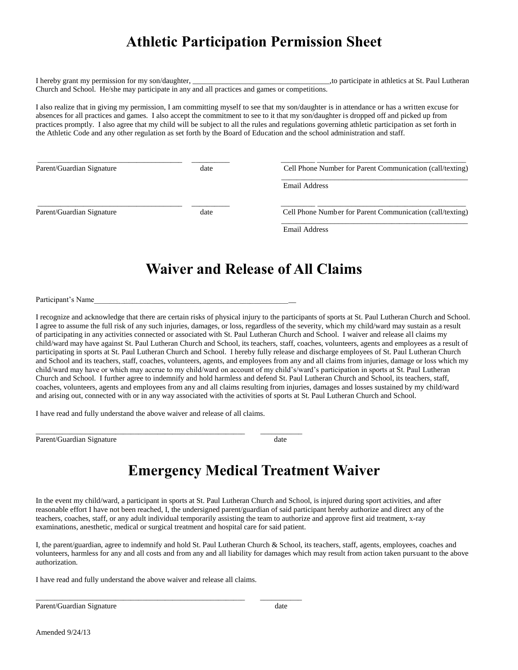### **Athletic Participation Permission Sheet**

I hereby grant my permission for my son/daughter, the state of the state in athletics at St. Paul Lutheran state in athletics at St. Paul Lutheran Church and School. He/she may participate in any and all practices and games or competitions.

I also realize that in giving my permission, I am committing myself to see that my son/daughter is in attendance or has a written excuse for absences for all practices and games. I also accept the commitment to see to it that my son/daughter is dropped off and picked up from practices promptly. I also agree that my child will be subject to all the rules and regulations governing athletic participation as set forth in the Athletic Code and any other regulation as set forth by the Board of Education and the school administration and staff.

| Parent/Guardian Signature | date | Cell Phone Number for Parent Communication (call/texting) |
|---------------------------|------|-----------------------------------------------------------|
|                           |      | Email Address                                             |
| Parent/Guardian Signature | date | Cell Phone Number for Parent Communication (call/texting) |
|                           |      | <b>Email Address</b>                                      |

### **Waiver and Release of All Claims**

Participant's Name

I recognize and acknowledge that there are certain risks of physical injury to the participants of sports at St. Paul Lutheran Church and School. I agree to assume the full risk of any such injuries, damages, or loss, regardless of the severity, which my child/ward may sustain as a result of participating in any activities connected or associated with St. Paul Lutheran Church and School. I waiver and release all claims my child/ward may have against St. Paul Lutheran Church and School, its teachers, staff, coaches, volunteers, agents and employees as a result of participating in sports at St. Paul Lutheran Church and School. I hereby fully release and discharge employees of St. Paul Lutheran Church and School and its teachers, staff, coaches, volunteers, agents, and employees from any and all claims from injuries, damage or loss which my child/ward may have or which may accrue to my child/ward on account of my child's/ward's participation in sports at St. Paul Lutheran Church and School. I further agree to indemnify and hold harmless and defend St. Paul Lutheran Church and School, its teachers, staff, coaches, volunteers, agents and employees from any and all claims resulting from injuries, damages and losses sustained by my child/ward and arising out, connected with or in any way associated with the activities of sports at St. Paul Lutheran Church and School.

I have read and fully understand the above waiver and release of all claims.

\_\_\_\_\_\_\_\_\_\_\_\_\_\_\_\_\_\_\_\_\_\_\_\_\_\_\_\_\_\_\_\_\_\_\_\_\_\_\_\_\_\_\_\_\_\_\_\_\_\_\_\_\_\_\_ \_\_\_\_\_\_\_\_\_\_\_

Parent/Guardian Signature date date date

### **Emergency Medical Treatment Waiver**

In the event my child/ward, a participant in sports at St. Paul Lutheran Church and School, is injured during sport activities, and after reasonable effort I have not been reached, I, the undersigned parent/guardian of said participant hereby authorize and direct any of the teachers, coaches, staff, or any adult individual temporarily assisting the team to authorize and approve first aid treatment, x-ray examinations, anesthetic, medical or surgical treatment and hospital care for said patient.

I, the parent/guardian, agree to indemnify and hold St. Paul Lutheran Church & School, its teachers, staff, agents, employees, coaches and volunteers, harmless for any and all costs and from any and all liability for damages which may result from action taken pursuant to the above authorization.

I have read and fully understand the above waiver and release all claims.

\_\_\_\_\_\_\_\_\_\_\_\_\_\_\_\_\_\_\_\_\_\_\_\_\_\_\_\_\_\_\_\_\_\_\_\_\_\_\_\_\_\_\_\_\_\_\_\_\_\_\_\_\_\_\_ \_\_\_\_\_\_\_\_\_\_\_

Parent/Guardian Signature date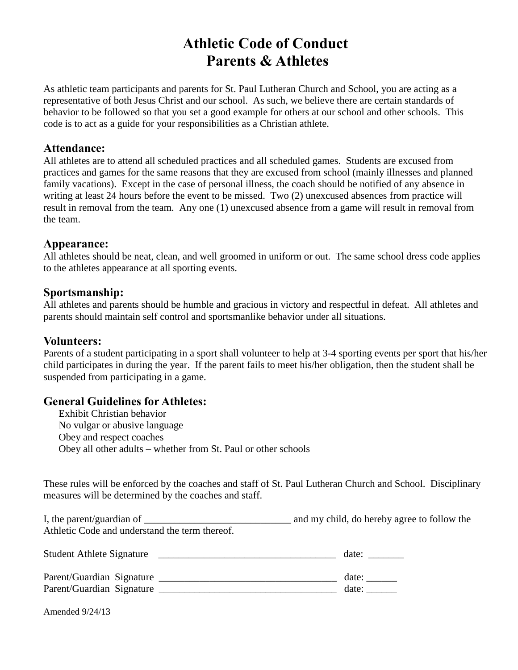### **Athletic Code of Conduct Parents & Athletes**

As athletic team participants and parents for St. Paul Lutheran Church and School, you are acting as a representative of both Jesus Christ and our school. As such, we believe there are certain standards of behavior to be followed so that you set a good example for others at our school and other schools. This code is to act as a guide for your responsibilities as a Christian athlete.

#### **Attendance:**

All athletes are to attend all scheduled practices and all scheduled games. Students are excused from practices and games for the same reasons that they are excused from school (mainly illnesses and planned family vacations). Except in the case of personal illness, the coach should be notified of any absence in writing at least 24 hours before the event to be missed. Two (2) unexcused absences from practice will result in removal from the team. Any one (1) unexcused absence from a game will result in removal from the team.

#### **Appearance:**

All athletes should be neat, clean, and well groomed in uniform or out. The same school dress code applies to the athletes appearance at all sporting events.

### **Sportsmanship:**

All athletes and parents should be humble and gracious in victory and respectful in defeat. All athletes and parents should maintain self control and sportsmanlike behavior under all situations.

### **Volunteers:**

Parents of a student participating in a sport shall volunteer to help at 3-4 sporting events per sport that his/her child participates in during the year. If the parent fails to meet his/her obligation, then the student shall be suspended from participating in a game.

### **General Guidelines for Athletes:**

Exhibit Christian behavior No vulgar or abusive language Obey and respect coaches Obey all other adults – whether from St. Paul or other schools

These rules will be enforced by the coaches and staff of St. Paul Lutheran Church and School. Disciplinary measures will be determined by the coaches and staff.

I, the parent/guardian of \_\_\_\_\_\_\_\_\_\_\_\_\_\_\_\_\_\_\_\_\_\_\_\_\_\_\_\_\_ and my child, do hereby agree to follow the Athletic Code and understand the term thereof.

Student Athlete Signature \_\_\_\_\_\_\_\_\_\_\_\_\_\_\_\_\_\_\_\_\_\_\_\_\_\_\_\_\_\_\_\_\_\_\_ date: \_\_\_\_\_\_\_

| Parent/Guardian Signature |  | date:             |
|---------------------------|--|-------------------|
| Parent/Guardian Signature |  | date <sup>-</sup> |

Amended 9/24/13